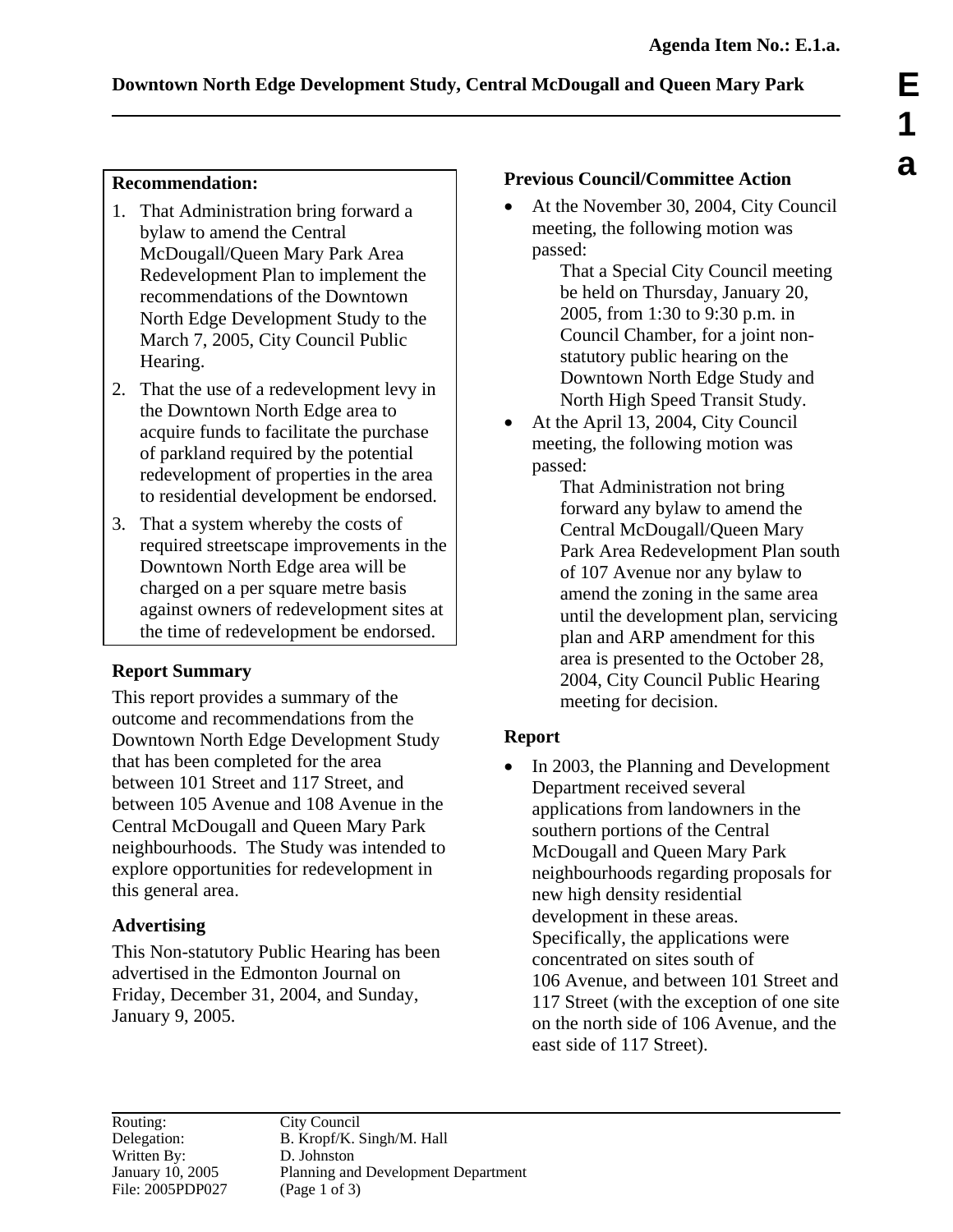### **Recommendation:**

- 1. That Administration bring forward a bylaw to amend the Central McDougall/Queen Mary Park Area Redevelopment Plan to implement the recommendations of the Downtown North Edge Development Study to the March 7, 2005, City Council Public Hearing.
- 2. That the use of a redevelopment levy in the Downtown North Edge area to acquire funds to facilitate the purchase of parkland required by the potential redevelopment of properties in the area to residential development be endorsed.
- 3. That a system whereby the costs of required streetscape improvements in the Downtown North Edge area will be charged on a per square metre basis against owners of redevelopment sites at the time of redevelopment be endorsed.

# **Report Summary**

This report provides a summary of the outcome and recommendations from the Downtown North Edge Development Study that has been completed for the area between 101 Street and 117 Street, and between 105 Avenue and 108 Avenue in the Central McDougall and Queen Mary Park neighbourhoods. The Study was intended to explore opportunities for redevelopment in this general area.

# **Advertising**

This Non-statutory Public Hearing has been advertised in the Edmonton Journal on Friday, December 31, 2004, and Sunday, January 9, 2005.

## **Previous Council/Committee Action**

• At the November 30, 2004, City Council meeting, the following motion was passed:

That a Special City Council meeting be held on Thursday, January 20, 2005, from 1:30 to 9:30 p.m. in Council Chamber, for a joint nonstatutory public hearing on the Downtown North Edge Study and North High Speed Transit Study.

• At the April 13, 2004, City Council meeting, the following motion was passed:

That Administration not bring forward any bylaw to amend the Central McDougall/Queen Mary Park Area Redevelopment Plan south of 107 Avenue nor any bylaw to amend the zoning in the same area until the development plan, servicing plan and ARP amendment for this area is presented to the October 28, 2004, City Council Public Hearing meeting for decision.

# **Report**

• In 2003, the Planning and Development Department received several applications from landowners in the southern portions of the Central McDougall and Queen Mary Park neighbourhoods regarding proposals for new high density residential development in these areas. Specifically, the applications were concentrated on sites south of 106 Avenue, and between 101 Street and 117 Street (with the exception of one site on the north side of 106 Avenue, and the east side of 117 Street).

Routing: City Council<br>Delegation: B. Kropf/K. S Written By: D. Johnston<br>January 10, 2005 Planning and File: 2005PDP027 (Page 1 of 3)

B. Kropf/K. Singh/M. Hall Planning and Development Department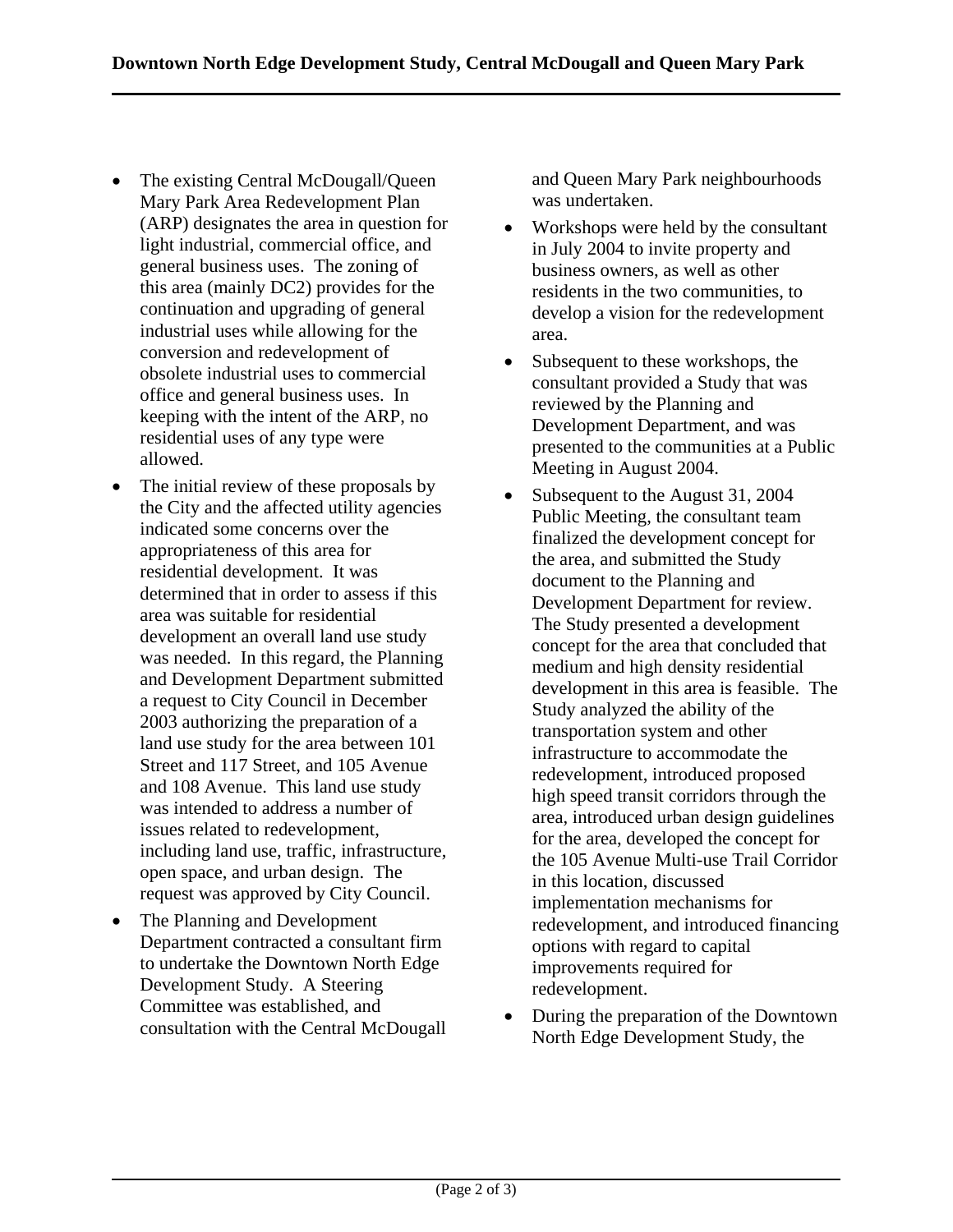- The existing Central McDougall/Queen Mary Park Area Redevelopment Plan (ARP) designates the area in question for light industrial, commercial office, and general business uses. The zoning of this area (mainly DC2) provides for the continuation and upgrading of general industrial uses while allowing for the conversion and redevelopment of obsolete industrial uses to commercial office and general business uses. In keeping with the intent of the ARP, no residential uses of any type were allowed.
- The initial review of these proposals by the City and the affected utility agencies indicated some concerns over the appropriateness of this area for residential development. It was determined that in order to assess if this area was suitable for residential development an overall land use study was needed. In this regard, the Planning and Development Department submitted a request to City Council in December 2003 authorizing the preparation of a land use study for the area between 101 Street and 117 Street, and 105 Avenue and 108 Avenue. This land use study was intended to address a number of issues related to redevelopment, including land use, traffic, infrastructure, open space, and urban design. The request was approved by City Council.
- The Planning and Development Department contracted a consultant firm to undertake the Downtown North Edge Development Study. A Steering Committee was established, and consultation with the Central McDougall

and Queen Mary Park neighbourhoods was undertaken.

- Workshops were held by the consultant in July 2004 to invite property and business owners, as well as other residents in the two communities, to develop a vision for the redevelopment area.
- Subsequent to these workshops, the consultant provided a Study that was reviewed by the Planning and Development Department, and was presented to the communities at a Public Meeting in August 2004.
- Subsequent to the August 31, 2004 Public Meeting, the consultant team finalized the development concept for the area, and submitted the Study document to the Planning and Development Department for review. The Study presented a development concept for the area that concluded that medium and high density residential development in this area is feasible. The Study analyzed the ability of the transportation system and other infrastructure to accommodate the redevelopment, introduced proposed high speed transit corridors through the area, introduced urban design guidelines for the area, developed the concept for the 105 Avenue Multi-use Trail Corridor in this location, discussed implementation mechanisms for redevelopment, and introduced financing options with regard to capital improvements required for redevelopment.
- During the preparation of the Downtown North Edge Development Study, the